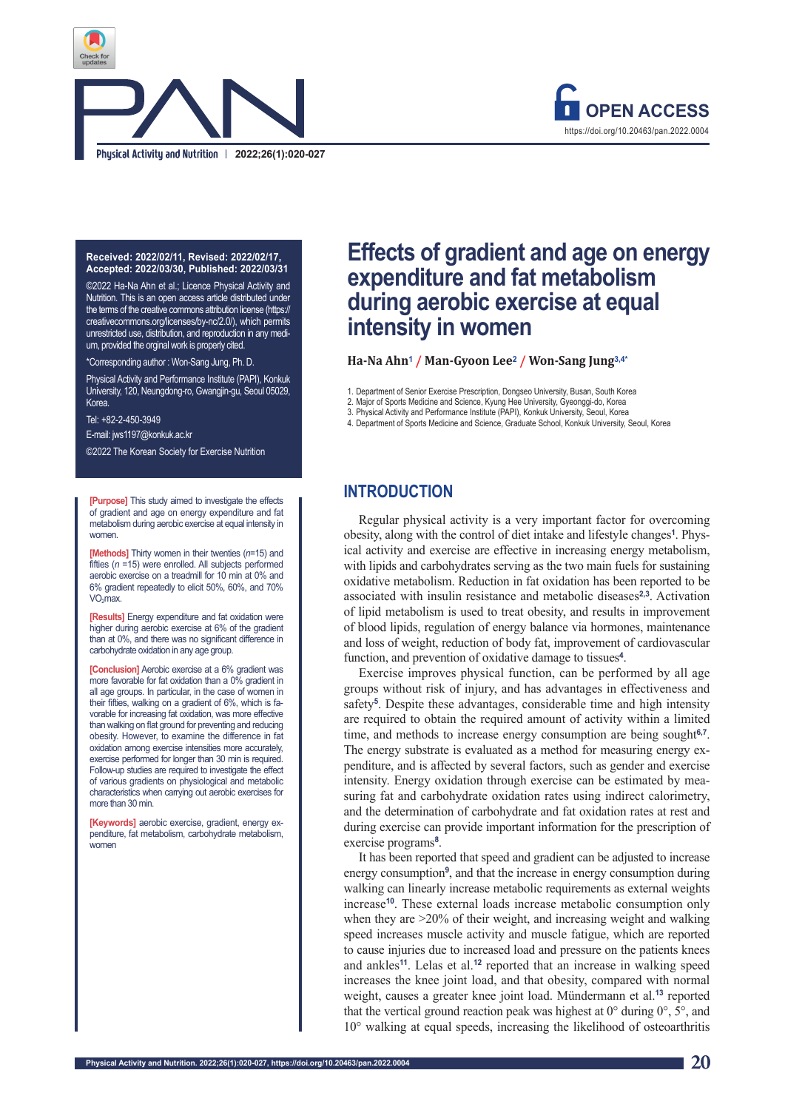

# **Energy metabolism response according to gradient and age 2022;26(1):020-027**



#### **Received: 2022/02/11, Revised: 2022/02/17, Accepted: 2022/03/30, Published: 2022/03/31**

©2022 Ha-Na Ahn et al.; Licence Physical Activity and Nutrition. This is an open access article distributed under the terms of the creative commons attribution license (https:// creativecommons.org/licenses/by-nc/2.0/), which permits unrestricted use, distribution, and reproduction in any medium, provided the orginal work is properly cited.

Corresponding author: Won-Sang Jung, Ph. D.

Physical Activity and Performance Institute (PAPI), Konkuk University, 120, Neungdong-ro, Gwangjin-gu, Seoul 05029, Korea.

Tel: +82-2-450-3949 E-mail: jws1197@konkuk.ac.kr

©2022 The Korean Society for Exercise Nutrition

**[Purpose]** This study aimed to investigate the effects of gradient and age on energy expenditure and fat metabolism during aerobic exercise at equal intensity in women

**[Methods]** Thirty women in their twenties (*n*=15) and fifties (*n* =15) were enrolled. All subjects performed aerobic exercise on a treadmill for 10 min at 0% and 6% gradient repeatedly to elicit 50%, 60%, and 70%  $VO<sub>2</sub>max$ .

**[Results]** Energy expenditure and fat oxidation were higher during aerobic exercise at 6% of the gradient than at 0%, and there was no significant difference in carbohydrate oxidation in any age group.

**[Conclusion]** Aerobic exercise at a 6% gradient was more favorable for fat oxidation than a 0% gradient in all age groups. In particular, in the case of women in their fifties, walking on a gradient of 6%, which is favorable for increasing fat oxidation, was more effective than walking on flat ground for preventing and reducing obesity. However, to examine the difference in fat oxidation among exercise intensities more accurately, exercise performed for longer than 30 min is required. Follow-up studies are required to investigate the effect of various gradients on physiological and metabolic characteristics when carrying out aerobic exercises for more than 30 min.

**[Keywords]** aerobic exercise, gradient, energy expenditure, fat metabolism, carbohydrate metabolism, women

# **Effects of gradient and age on energy expenditure and fat metabolism during aerobic exercise at equal intensity in women**

**Ha-Na Ahn<sup>1</sup> / Man-Gyoon Lee<sup>2</sup> / Won-Sang Jung3,4\***

1. Department of Senior Exercise Prescription, Dongseo University, Busan, South Korea

2. Major of Sports Medicine and Science, Kyung Hee University, Gyeonggi-do, Korea

3. Physical Activity and Performance Institute (PAPI), Konkuk University, Seoul, Korea

4. Department of Sports Medicine and Science, Graduate School, Konkuk University, Seoul, Korea

# **INTRODUCTION**

Regular physical activity is a very important factor for overcoming obesity, along with the control of diet intake and lifestyle changes**1**. Physical activity and exercise are effective in increasing energy metabolism, with lipids and carbohydrates serving as the two main fuels for sustaining oxidative metabolism. Reduction in fat oxidation has been reported to be associated with insulin resistance and metabolic diseases**2,3**. Activation of lipid metabolism is used to treat obesity, and results in improvement of blood lipids, regulation of energy balance via hormones, maintenance and loss of weight, reduction of body fat, improvement of cardiovascular function, and prevention of oxidative damage to tissues**4**.

Exercise improves physical function, can be performed by all age groups without risk of injury, and has advantages in effectiveness and safety**5**. Despite these advantages, considerable time and high intensity are required to obtain the required amount of activity within a limited time, and methods to increase energy consumption are being sought**6,7**. The energy substrate is evaluated as a method for measuring energy expenditure, and is affected by several factors, such as gender and exercise intensity. Energy oxidation through exercise can be estimated by measuring fat and carbohydrate oxidation rates using indirect calorimetry, and the determination of carbohydrate and fat oxidation rates at rest and during exercise can provide important information for the prescription of exercise programs**8**.

It has been reported that speed and gradient can be adjusted to increase energy consumption**9**, and that the increase in energy consumption during walking can linearly increase metabolic requirements as external weights increase**10**. These external loads increase metabolic consumption only when they are  $>20\%$  of their weight, and increasing weight and walking speed increases muscle activity and muscle fatigue, which are reported to cause injuries due to increased load and pressure on the patients knees and ankles**11**. Lelas et al.**12** reported that an increase in walking speed increases the knee joint load, and that obesity, compared with normal weight, causes a greater knee joint load. Mündermann et al.**13** reported that the vertical ground reaction peak was highest at  $0^{\circ}$  during  $0^{\circ}$ ,  $5^{\circ}$ , and 10° walking at equal speeds, increasing the likelihood of osteoarthritis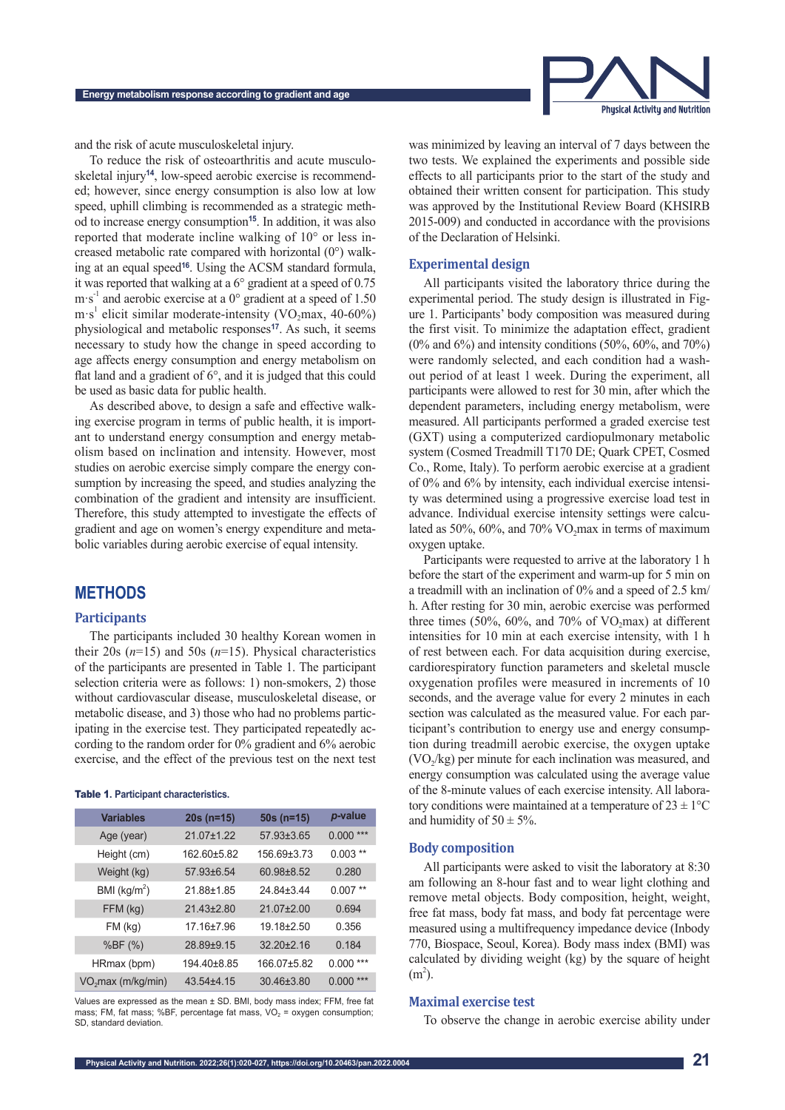

and the risk of acute musculoskeletal injury.

To reduce the risk of osteoarthritis and acute musculoskeletal injury**14**, low-speed aerobic exercise is recommended; however, since energy consumption is also low at low speed, uphill climbing is recommended as a strategic method to increase energy consumption**15**. In addition, it was also reported that moderate incline walking of 10° or less increased metabolic rate compared with horizontal (0°) walking at an equal speed**16**. Using the ACSM standard formula, it was reported that walking at a 6° gradient at a speed of 0.75 m s<sup>-1</sup> and aerobic exercise at a  $0^{\circ}$  gradient at a speed of 1.50  $m \cdot s^1$  elicit similar moderate-intensity (VO<sub>2</sub>max, 40-60%) physiological and metabolic responses**17**. As such, it seems necessary to study how the change in speed according to age affects energy consumption and energy metabolism on flat land and a gradient of 6°, and it is judged that this could be used as basic data for public health.

As described above, to design a safe and effective walking exercise program in terms of public health, it is important to understand energy consumption and energy metabolism based on inclination and intensity. However, most studies on aerobic exercise simply compare the energy consumption by increasing the speed, and studies analyzing the combination of the gradient and intensity are insufficient. Therefore, this study attempted to investigate the effects of gradient and age on women's energy expenditure and metabolic variables during aerobic exercise of equal intensity.

# **METHODS**

#### **Participants**

The participants included 30 healthy Korean women in their 20s (*n*=15) and 50s (*n*=15). Physical characteristics of the participants are presented in Table 1. The participant selection criteria were as follows: 1) non-smokers, 2) those without cardiovascular disease, musculoskeletal disease, or metabolic disease, and 3) those who had no problems participating in the exercise test. They participated repeatedly according to the random order for 0% gradient and 6% aerobic exercise, and the effect of the previous test on the next test

#### Table 1**. Participant characteristics.**

| <b>Variables</b>               | $20s$ (n=15) | $50s$ (n=15)     | p-value    |
|--------------------------------|--------------|------------------|------------|
| Age (year)                     | 21.07±1.22   | 57.93±3.65       | $0.000***$ |
| Height (cm)                    | 162.60±5.82  | 156.69±3.73      | $0.003**$  |
| Weight (kg)                    | 57.93±6.54   | 60.98±8.52       | 0.280      |
| BMI ( $\text{kg/m}^2$ )        | 21.88±1.85   | 24.84±3.44       | $0.007**$  |
| FFM (kg)                       | 21.43±2.80   | 21.07±2.00       | 0.694      |
| $FM$ (kg)                      | 17.16±7.96   | 19.18±2.50       | 0.356      |
| %BF (%)                        | 28.89±9.15   | $32.20 \pm 2.16$ | 0.184      |
| HRmax (bpm)                    | 194.40±8.85  | 166.07±5.82      | $0.000***$ |
| VO <sub>2</sub> max (m/kg/min) | 43.54±4.15   | 30.46±3.80       | $0.000***$ |

Values are expressed as the mean ± SD. BMI, body mass index; FFM, free fat mass; FM, fat mass; %BF, percentage fat mass,  $VO<sub>2</sub> = oxygen consumption$ ; SD, standard deviation.

was minimized by leaving an interval of 7 days between the two tests. We explained the experiments and possible side effects to all participants prior to the start of the study and obtained their written consent for participation. This study was approved by the Institutional Review Board (KHSIRB 2015-009) and conducted in accordance with the provisions of the Declaration of Helsinki.

#### **Experimental design**

All participants visited the laboratory thrice during the experimental period. The study design is illustrated in Figure 1. Participants' body composition was measured during the first visit. To minimize the adaptation effect, gradient  $(0\%$  and  $6\%)$  and intensity conditions  $(50\%, 60\%, \text{ and } 70\%)$ were randomly selected, and each condition had a washout period of at least 1 week. During the experiment, all participants were allowed to rest for 30 min, after which the dependent parameters, including energy metabolism, were measured. All participants performed a graded exercise test (GXT) using a computerized cardiopulmonary metabolic system (Cosmed Treadmill T170 DE; Quark CPET, Cosmed Co., Rome, Italy). To perform aerobic exercise at a gradient of 0% and 6% by intensity, each individual exercise intensity was determined using a progressive exercise load test in advance. Individual exercise intensity settings were calculated as  $50\%$ ,  $60\%$ , and  $70\%$  VO<sub>2</sub>max in terms of maximum oxygen uptake.

Participants were requested to arrive at the laboratory 1 h before the start of the experiment and warm-up for 5 min on a treadmill with an inclination of 0% and a speed of 2.5 km/ h. After resting for 30 min, aerobic exercise was performed three times  $(50\%, 60\%, \text{ and } 70\% \text{ of VO}$ <sub>2</sub>max) at different intensities for 10 min at each exercise intensity, with 1 h of rest between each. For data acquisition during exercise, cardiorespiratory function parameters and skeletal muscle oxygenation profiles were measured in increments of 10 seconds, and the average value for every 2 minutes in each section was calculated as the measured value. For each participant's contribution to energy use and energy consumption during treadmill aerobic exercise, the oxygen uptake  $(VO<sub>2</sub>/kg)$  per minute for each inclination was measured, and energy consumption was calculated using the average value of the 8-minute values of each exercise intensity. All laboratory conditions were maintained at a temperature of  $23 \pm 1$ °C and humidity of  $50 \pm 5\%$ .

#### **Body composition**

All participants were asked to visit the laboratory at 8:30 am following an 8-hour fast and to wear light clothing and remove metal objects. Body composition, height, weight, free fat mass, body fat mass, and body fat percentage were measured using a multifrequency impedance device (Inbody 770, Biospace, Seoul, Korea). Body mass index (BMI) was calculated by dividing weight (kg) by the square of height  $(m<sup>2</sup>)$ .

#### **Maximal exercise test**

To observe the change in aerobic exercise ability under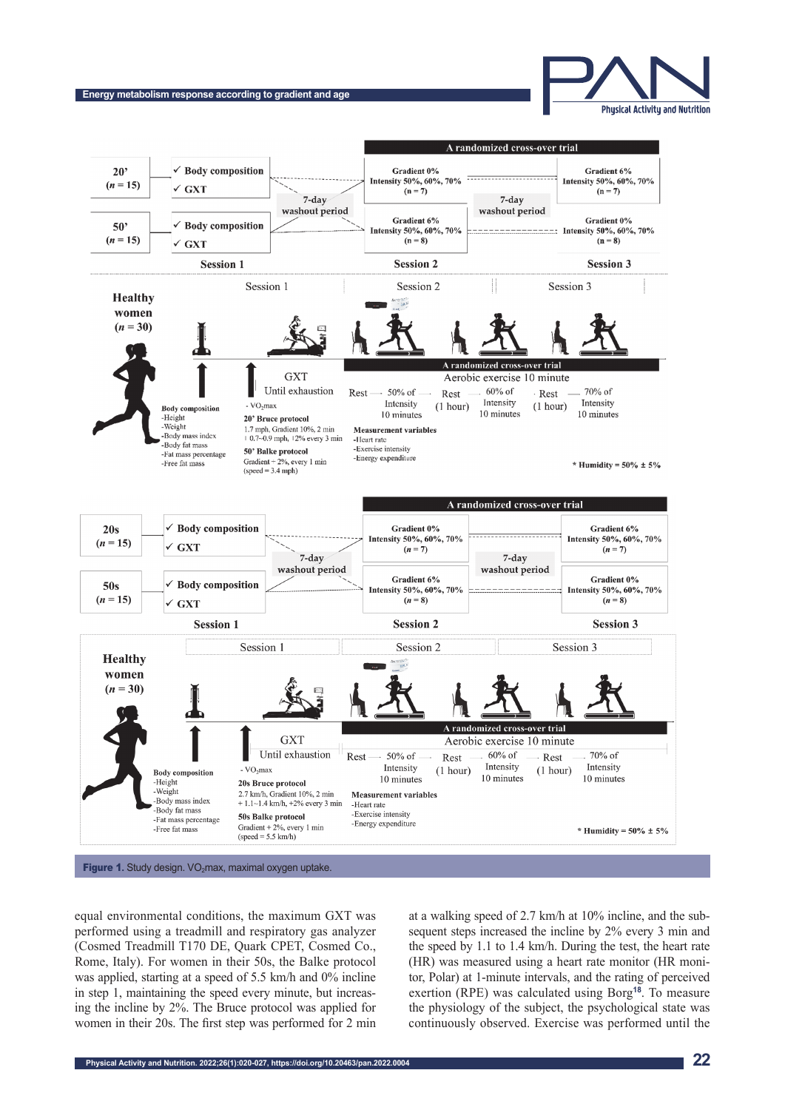

Gradient 6%

Intensity 50%, 60%, 70%

#### A randomized cross-over trial  $20'$ **Body** composition Gradient 0% Intensity 50%, 60%, 70%  $(n = 15)$

**Energy metabolism response according to gradient and age**



**Figure 1.** Study design. VO<sub>2</sub>max, maximal oxygen uptake.

equal environmental conditions, the maximum GXT was performed using a treadmill and respiratory gas analyzer sequent steps increased the inc (Cosmed Treadmill T170 DE, Quark CPET, Cosmed Co., Rome, Italy). For women in their 50s, the Balke protocol was applied, starting at a speed of 5.5 km/h and 0% incline in step 1, maintaining the speed every minute, but increasing the incline by 2%. The Bruce protocol was applied for women in their 20s. The first step was performed for 2 min

at a walking speed of 2.7 km/h at 10% incline, and the subsequent steps increased the incline by 2% every 3 min and the speed by 1.1 to 1.4 km/h. During the test, the heart rate (HR) was measured using a heart rate monitor (HR monitor, Polar) at 1-minute intervals, and the rating of perceived exertion (RPE) was calculated using Borg**18**. To measure the physiology of the subject, the psychological state was continuously observed. Exercise was performed until the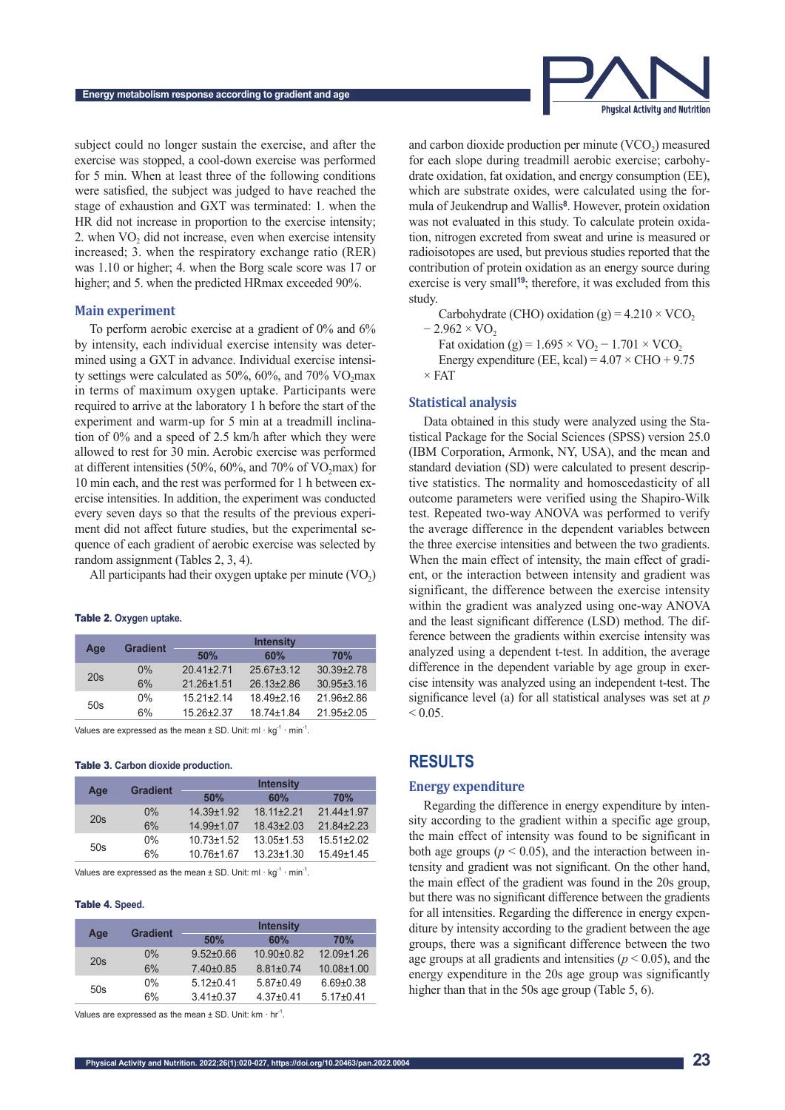

subject could no longer sustain the exercise, and after the exercise was stopped, a cool-down exercise was performed for 5 min. When at least three of the following conditions were satisfied, the subject was judged to have reached the stage of exhaustion and GXT was terminated: 1. when the HR did not increase in proportion to the exercise intensity; 2. when  $VO<sub>2</sub>$  did not increase, even when exercise intensity increased; 3. when the respiratory exchange ratio (RER) was 1.10 or higher; 4. when the Borg scale score was 17 or higher; and 5. when the predicted HRmax exceeded 90%.

#### **Main experiment**

To perform aerobic exercise at a gradient of 0% and 6% by intensity, each individual exercise intensity was determined using a GXT in advance. Individual exercise intensity settings were calculated as 50%, 60%, and 70%  $VO<sub>2</sub>max$ in terms of maximum oxygen uptake. Participants were required to arrive at the laboratory 1 h before the start of the experiment and warm-up for 5 min at a treadmill inclination of 0% and a speed of 2.5 km/h after which they were allowed to rest for 30 min. Aerobic exercise was performed at different intensities (50%, 60%, and 70% of  $VO<sub>2</sub>max$ ) for 10 min each, and the rest was performed for 1 h between exercise intensities. In addition, the experiment was conducted every seven days so that the results of the previous experiment did not affect future studies, but the experimental sequence of each gradient of aerobic exercise was selected by random assignment (Tables 2, 3, 4).

All participants had their oxygen uptake per minute  $(VO<sub>2</sub>)$ 

Table 2**. Oxygen uptake.**

|     | <b>Gradient</b> | <b>Intensity</b> |                |                  |  |  |  |
|-----|-----------------|------------------|----------------|------------------|--|--|--|
| Age |                 | 50%              | 60%            | <b>70%</b>       |  |  |  |
| 20s | $0\%$           | $20.41 + 2.71$   | $25.67 + 3.12$ | $30.39 + 2.78$   |  |  |  |
|     | 6%              | $21.26 + 1.51$   | $26.13+2.86$   | $30.95 \pm 3.16$ |  |  |  |
| 50s | $0\%$           | $15.21 + 2.14$   | $1849+216$     | 21.96±2.86       |  |  |  |
|     | 6%              | $15.26 \pm 2.37$ | 18 74 + 1 84   | $21.95 \pm 2.05$ |  |  |  |

Values are expressed as the mean  $\pm$  SD. Unit: ml  $\cdot$  kg<sup>-1</sup>  $\cdot$  min<sup>-1</sup>.

#### Table 3**. Carbon dioxide production.**

|     | <b>Gradient</b> | <b>Intensity</b> |                  |                  |  |  |  |
|-----|-----------------|------------------|------------------|------------------|--|--|--|
| Age |                 | 50%              | 60%              | <b>70%</b>       |  |  |  |
| 20s | $0\%$           | $14.39 \pm 1.92$ | $18.11 \pm 2.21$ | 21.44±1.97       |  |  |  |
|     | 6%              | 14.99±1.07       | $18.43 \pm 2.03$ | $21.84 + 2.23$   |  |  |  |
| 50s | $0\%$           | $10.73 \pm 1.52$ | $13.05 \pm 1.53$ | $15.51 \pm 2.02$ |  |  |  |
|     | 6%              | 10.76±1.67       | $13.23 \pm 1.30$ | $15.49 \pm 1.45$ |  |  |  |

Values are expressed as the mean  $\pm$  SD. Unit: ml  $\cdot$  kg<sup>-1</sup>  $\cdot$  min<sup>-1</sup>.

#### Table 4**. Speed.**

|     | <b>Gradient</b> | <b>Intensity</b> |                  |                  |  |  |
|-----|-----------------|------------------|------------------|------------------|--|--|
| Age |                 | 50%              | 60%              | <b>70%</b>       |  |  |
| 20s | $0\%$           | $9.52 \pm 0.66$  | $10.90 \pm 0.82$ | $12.09 \pm 1.26$ |  |  |
|     | 6%              | $7.40 \pm 0.85$  | $8.81 \pm 0.74$  | $10.08 \pm 1.00$ |  |  |
|     | 0%              | $5.12 \pm 0.41$  | $5.87 \pm 0.49$  | $6.69 \pm 0.38$  |  |  |
| 50s | 6%              | $3.41 \pm 0.37$  | $4.37 \pm 0.41$  | $5.17+0.41$      |  |  |

Values are expressed as the mean  $\pm$  SD. Unit: km  $\cdot$  hr<sup>-1</sup>.

and carbon dioxide production per minute  $(VCO<sub>2</sub>)$  measured for each slope during treadmill aerobic exercise; carbohydrate oxidation, fat oxidation, and energy consumption (EE), which are substrate oxides, were calculated using the formula of Jeukendrup and Wallis**8**. However, protein oxidation was not evaluated in this study. To calculate protein oxidation, nitrogen excreted from sweat and urine is measured or radioisotopes are used, but previous studies reported that the contribution of protein oxidation as an energy source during exercise is very small**19**; therefore, it was excluded from this study.

Carbohydrate (CHO) oxidation (g) =  $4.210 \times VCO$ ,  $-2.962 \times \text{VO}$ Fat oxidation (g) =  $1.695 \times \text{VO}_2 - 1.701 \times \text{VCO}_2$ Energy expenditure (EE, kcal) =  $4.07 \times$  CHO + 9.75  $\times$  FAT

#### **Statistical analysis**

Data obtained in this study were analyzed using the Statistical Package for the Social Sciences (SPSS) version 25.0 (IBM Corporation, Armonk, NY, USA), and the mean and standard deviation (SD) were calculated to present descriptive statistics. The normality and homoscedasticity of all outcome parameters were verified using the Shapiro-Wilk test. Repeated two-way ANOVA was performed to verify the average difference in the dependent variables between the three exercise intensities and between the two gradients. When the main effect of intensity, the main effect of gradient, or the interaction between intensity and gradient was significant, the difference between the exercise intensity within the gradient was analyzed using one-way ANOVA and the least significant difference (LSD) method. The difference between the gradients within exercise intensity was analyzed using a dependent t-test. In addition, the average difference in the dependent variable by age group in exercise intensity was analyzed using an independent t-test. The significance level (a) for all statistical analyses was set at *p*  $< 0.05$ .

### **RESULTS**

#### **Energy expenditure**

Regarding the difference in energy expenditure by intensity according to the gradient within a specific age group, the main effect of intensity was found to be significant in both age groups ( $p < 0.05$ ), and the interaction between intensity and gradient was not significant. On the other hand, the main effect of the gradient was found in the 20s group, but there was no significant difference between the gradients for all intensities. Regarding the difference in energy expenditure by intensity according to the gradient between the age groups, there was a significant difference between the two age groups at all gradients and intensities ( $p < 0.05$ ), and the energy expenditure in the 20s age group was significantly higher than that in the 50s age group (Table 5, 6).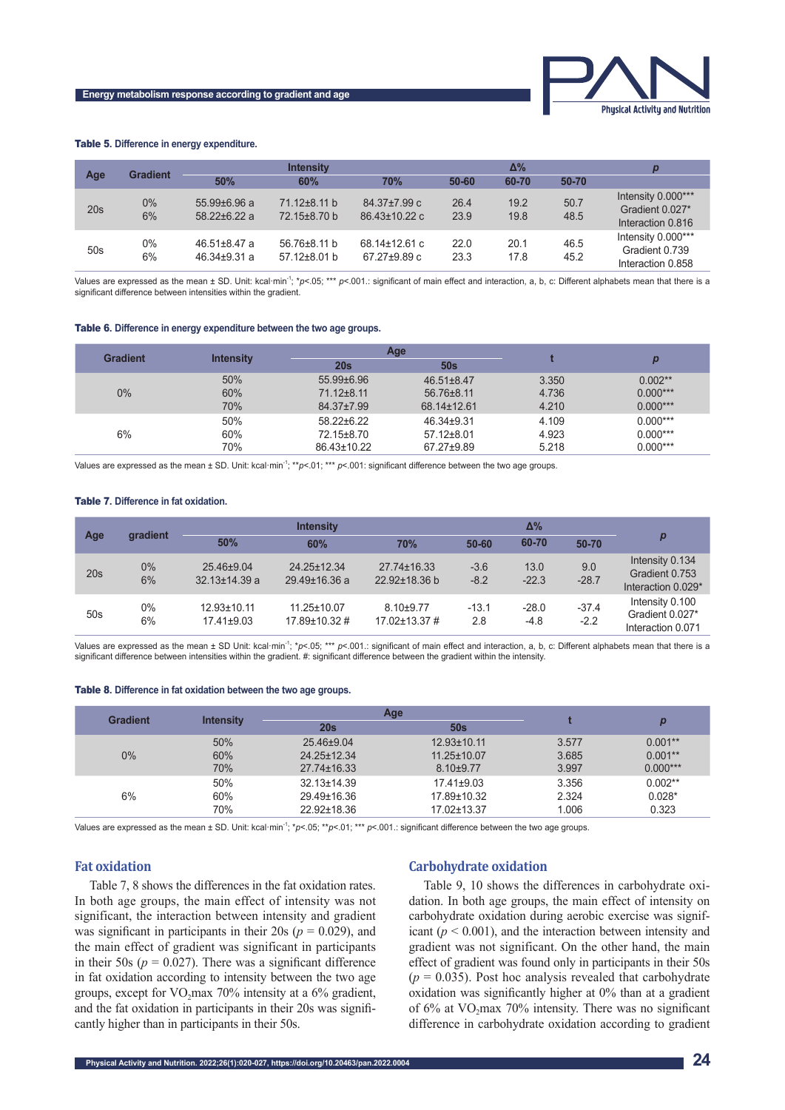

#### Table 5**. Difference in energy expenditure.**

|     | <b>Gradient</b> | <b>Intensity</b>                         |                                          |                                     | $\Delta\%$   |              |              |                                                            |
|-----|-----------------|------------------------------------------|------------------------------------------|-------------------------------------|--------------|--------------|--------------|------------------------------------------------------------|
| Age |                 | 50%                                      | 60%                                      | <b>70%</b>                          | 50-60        | 60-70        | 50-70        |                                                            |
| 20s | $0\%$<br>6%     | $55.99 \pm 6.96$ a<br>$5822+622a$        | $71.12 \pm 8.11$ b<br>72.15±8.70 b       | $84.37 \pm 7.99$ c<br>86.43±10.22 c | 26.4<br>23.9 | 19.2<br>19.8 | 50.7<br>48.5 | Intensity 0.000***<br>Gradient 0.027*<br>Interaction 0.816 |
| 50s | $0\%$<br>6%     | $46.51 \pm 8.47$ a<br>$46.34 \pm 9.31$ a | $56.76 \pm 8.11$ b<br>$57.12 \pm 8.01$ b | 68.14±12.61 c<br>67.27 $\pm$ 9.89 c | 22.0<br>23.3 | 20.1<br>17.8 | 46.5<br>45.2 | Intensity 0.000***<br>Gradient 0.739<br>Interaction 0.858  |

Values are expressed as the mean ± SD. Unit: kcal·min<sup>-1</sup>; \**p*<.05; \*\*\* *p*<.001.: significant of main effect and interaction, a, b, c: Different alphabets mean that there is a significant difference between intensities within the gradient.

#### Table 6**. Difference in energy expenditure between the two age groups.**

| <b>Gradient</b> |                  |                  | Age              |       |            |
|-----------------|------------------|------------------|------------------|-------|------------|
|                 | <b>Intensity</b> | 20s              | 50s              |       |            |
|                 | 50%              | $55.99 \pm 6.96$ | $46.51 \pm 8.47$ | 3.350 | $0.002**$  |
| $0\%$           | 60%              | $71.12 \pm 8.11$ | $56.76 \pm 8.11$ | 4.736 | $0.000***$ |
|                 | 70%              | 84.37±7.99       | 68.14±12.61      | 4.210 | $0.000***$ |
|                 | 50%              | $58.22 \pm 6.22$ | $46.34 \pm 9.31$ | 4.109 | $0.000***$ |
| 6%              | 60%              | 72.15±8.70       | $57.12 \pm 8.01$ | 4.923 | $0.000***$ |
|                 | 70%              | 86.43±10.22      | 67.27±9.89       | 5.218 | $0.000***$ |

Values are expressed as the mean ± SD. Unit: kcal·min-1; \*\**p*<.01; \*\*\* *p*<.001: significant difference between the two age groups.

#### Table 7**. Difference in fat oxidation.**

|                 | <b>Intensity</b> |                                   |                                    |                                | $\Delta\%$       |                   |                   |                                                         |
|-----------------|------------------|-----------------------------------|------------------------------------|--------------------------------|------------------|-------------------|-------------------|---------------------------------------------------------|
| Age             | gradient         | 50%                               | 60%                                | <b>70%</b>                     | $50 - 60$        | 60-70             | 50-70             | p                                                       |
| 20s             | $0\%$<br>6%      | 25.46±9.04<br>$32.13 \pm 14.39$ a | 24.25±12.34<br>$29.49 \pm 16.36$ a | 27.74±16.33<br>22.92±18.36 b   | $-3.6$<br>$-8.2$ | 13.0<br>$-22.3$   | 9.0<br>$-28.7$    | Intensity 0.134<br>Gradient 0.753<br>Interaction 0.029* |
| 50 <sub>s</sub> | $0\%$<br>6%      | 12.93±10.11<br>$17.41 \pm 9.03$   | 11.25±10.07<br>17.89±10.32#        | $8.10 + 9.77$<br>17.02±13.37 # | $-13.1$<br>2.8   | $-28.0$<br>$-4.8$ | $-37.4$<br>$-2.2$ | Intensity 0.100<br>Gradient 0.027*<br>Interaction 0.071 |

Values are expressed as the mean ± SD Unit: kcal·min<sup>-1</sup>; \**p*<.05; \*\*\* *p*<.001.: significant of main effect and interaction, a, b, c: Different alphabets mean that there is a significant difference between intensities within the gradient. #: significant difference between the gradient within the intensity.

#### Table 8**. Difference in fat oxidation between the two age groups.**

| <b>Gradient</b> | <b>Intensity</b> |                   | Age               |       |            |
|-----------------|------------------|-------------------|-------------------|-------|------------|
|                 |                  | 20s               | 50s               |       |            |
|                 | 50%              | 25.46±9.04        | $12.93 \pm 10.11$ | 3.577 | $0.001**$  |
| $0\%$           | 60%              | 24.25±12.34       | $11.25 \pm 10.07$ | 3.685 | $0.001**$  |
|                 | 70%              | 27.74±16.33       | $8.10 + 9.77$     | 3.997 | $0.000***$ |
|                 | 50%              | $32.13 \pm 14.39$ | $17.41 \pm 9.03$  | 3.356 | $0.002**$  |
| 6%              | 60%              | 29.49±16.36       | 17.89±10.32       | 2.324 | $0.028*$   |
|                 | 70%              | 22.92±18.36       | 17.02±13.37       | 1.006 | 0.323      |

Values are expressed as the mean ± SD. Unit: kcal·min<sup>-1</sup>; \**p*<.05; \*\**p*<.01; \*\*\* *p*<.001.: significant difference between the two age groups.

#### **Fat oxidation**

Table 7, 8 shows the differences in the fat oxidation rates. In both age groups, the main effect of intensity was not significant, the interaction between intensity and gradient was significant in participants in their  $20s$  ( $p = 0.029$ ), and the main effect of gradient was significant in participants in their 50s ( $p = 0.027$ ). There was a significant difference in fat oxidation according to intensity between the two age groups, except for  $VO_2$ max  $70\%$  intensity at a 6% gradient, and the fat oxidation in participants in their 20s was significantly higher than in participants in their 50s.

#### **Carbohydrate oxidation**

Table 9, 10 shows the differences in carbohydrate oxidation. In both age groups, the main effect of intensity on carbohydrate oxidation during aerobic exercise was significant  $(p < 0.001)$ , and the interaction between intensity and gradient was not significant. On the other hand, the main effect of gradient was found only in participants in their 50s  $(p = 0.035)$ . Post hoc analysis revealed that carbohydrate oxidation was significantly higher at 0% than at a gradient of  $6\%$  at VO<sub>2</sub>max 70% intensity. There was no significant difference in carbohydrate oxidation according to gradient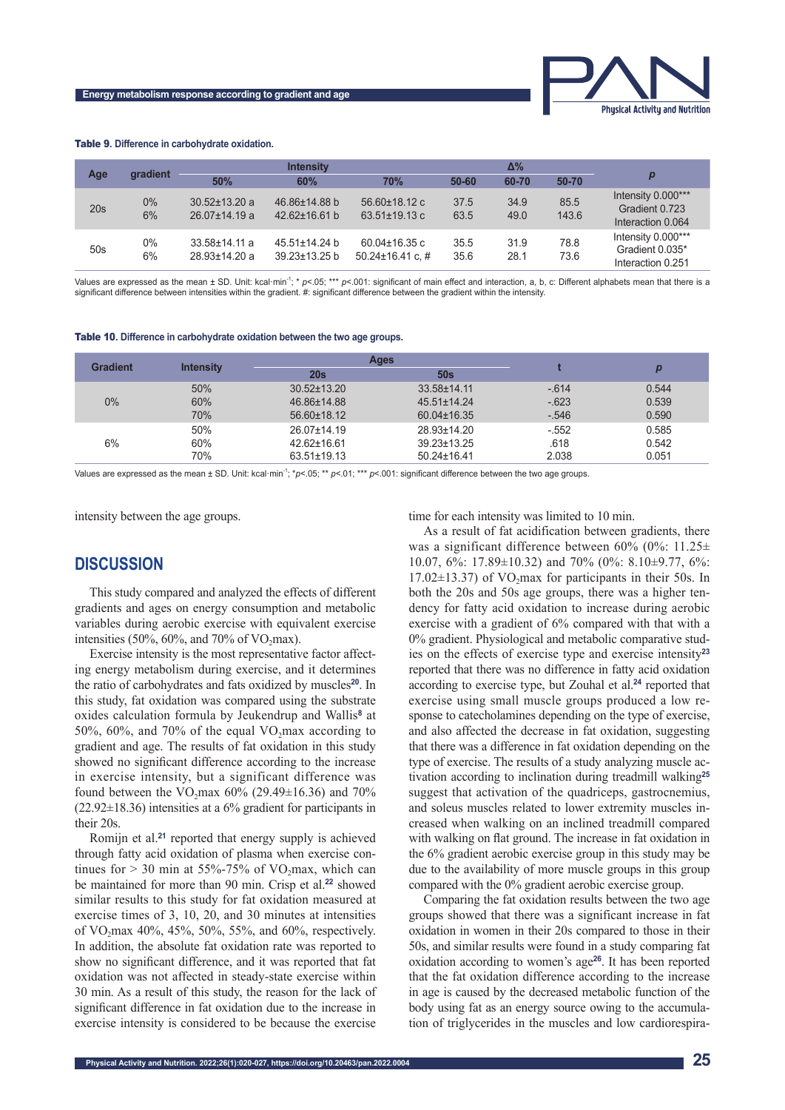

#### Table 9**. Difference in carbohydrate oxidation.**

| Age | gradient    | <b>Intensity</b>                           |                                      | Δ%                                            |              |              | р             |                                                            |
|-----|-------------|--------------------------------------------|--------------------------------------|-----------------------------------------------|--------------|--------------|---------------|------------------------------------------------------------|
|     |             | 50%                                        | 60%                                  | 70%                                           | $50 - 60$    | 60-70        | 50-70         |                                                            |
| 20s | $0\%$<br>6% | $30.52 \pm 13.20$ a<br>$26.07 \pm 14.19$ a | 46.86±14.88 b<br>$42.62 \pm 16.61$ b | $56.60 \pm 18.12$ c<br>$63.51 \pm 19.13$ c    | 37.5<br>63.5 | 34.9<br>49.0 | 85.5<br>143.6 | Intensity 0.000***<br>Gradient 0.723<br>Interaction 0.064  |
| 50s | $0\%$<br>6% | $33.58 \pm 14.11$ a<br>28.93±14.20 a       | 45.51±14.24 b<br>39.23±13.25 b       | $60.04 \pm 16.35$ c<br>$50.24 \pm 16.41$ c. # | 35.5<br>35.6 | 31.9<br>28.1 | 78.8<br>73.6  | Intensity 0.000***<br>Gradient 0.035*<br>Interaction 0.251 |

Values are expressed as the mean ± SD. Unit: kcal·min<sup>-1</sup>; \* *p*<.05; \*\*\* *p*<.001: significant of main effect and interaction, a, b, c: Different alphabets mean that there is a significant difference between intensities within the gradient. #: significant difference between the gradient within the intensity

|  |  |  | <b>Table 10.</b> Difference in carbohydrate oxidation between the two age groups. |  |  |
|--|--|--|-----------------------------------------------------------------------------------|--|--|
|--|--|--|-----------------------------------------------------------------------------------|--|--|

| <b>Gradient</b> |                  | <b>Ages</b>       |                   |         |       |
|-----------------|------------------|-------------------|-------------------|---------|-------|
|                 | <b>Intensity</b> | 20s               | 50s               |         |       |
| $0\%$           | 50%              | $30.52 \pm 13.20$ | 33.58±14.11       | $-614$  | 0.544 |
|                 | 60%              | 46.86±14.88       | $45.51 \pm 14.24$ | $-623$  | 0.539 |
|                 | 70%              | 56.60±18.12       | 60.04±16.35       | $-.546$ | 0.590 |
|                 | 50%              | 26.07±14.19       | 28.93±14.20       | $-552$  | 0.585 |
| 6%              | 60%              | 42.62±16.61       | $39.23 \pm 13.25$ | .618    | 0.542 |
|                 | 70%              | 63.51±19.13       | $50.24 \pm 16.41$ | 2.038   | 0.051 |

Values are expressed as the mean ± SD. Unit: kcal·min<sup>-1</sup>; \**p*<.05; \*\* *p*<.01; \*\*\* *p*<.001: significant difference between the two age groups.

intensity between the age groups.

## **DISCUSSION**

This study compared and analyzed the effects of different gradients and ages on energy consumption and metabolic variables during aerobic exercise with equivalent exercise intensities (50%, 60%, and 70% of VO<sub>2</sub>max).

Exercise intensity is the most representative factor affecting energy metabolism during exercise, and it determines the ratio of carbohydrates and fats oxidized by muscles**20**. In this study, fat oxidation was compared using the substrate oxides calculation formula by Jeukendrup and Wallis**8** at 50%, 60%, and 70% of the equal  $VO<sub>2</sub>max$  according to gradient and age. The results of fat oxidation in this study showed no significant difference according to the increase in exercise intensity, but a significant difference was found between the VO<sub>2</sub>max  $60\%$  (29.49 $\pm$ 16.36) and 70% (22.92±18.36) intensities at a 6% gradient for participants in their 20s.

Romijn et al.**21** reported that energy supply is achieved through fatty acid oxidation of plasma when exercise continues for  $> 30$  min at 55%-75% of VO<sub>2</sub>max, which can be maintained for more than 90 min. Crisp et al.**22** showed similar results to this study for fat oxidation measured at exercise times of 3, 10, 20, and 30 minutes at intensities of VO<sub>2</sub>max 40%, 45%, 50%, 55%, and 60%, respectively. In addition, the absolute fat oxidation rate was reported to show no significant difference, and it was reported that fat oxidation was not affected in steady-state exercise within 30 min. As a result of this study, the reason for the lack of significant difference in fat oxidation due to the increase in exercise intensity is considered to be because the exercise

time for each intensity was limited to 10 min.

As a result of fat acidification between gradients, there was a significant difference between  $60\%$  (0%:  $11.25\pm$ 10.07, 6%: 17.89±10.32) and 70% (0%: 8.10±9.77, 6%:  $17.02\pm13.37$ ) of VO<sub>2</sub>max for participants in their 50s. In both the 20s and 50s age groups, there was a higher tendency for fatty acid oxidation to increase during aerobic exercise with a gradient of 6% compared with that with a 0% gradient. Physiological and metabolic comparative studies on the effects of exercise type and exercise intensity**<sup>23</sup>** reported that there was no difference in fatty acid oxidation according to exercise type, but Zouhal et al.**24** reported that exercise using small muscle groups produced a low response to catecholamines depending on the type of exercise, and also affected the decrease in fat oxidation, suggesting that there was a difference in fat oxidation depending on the type of exercise. The results of a study analyzing muscle activation according to inclination during treadmill walking**<sup>25</sup>** suggest that activation of the quadriceps, gastrocnemius, and soleus muscles related to lower extremity muscles increased when walking on an inclined treadmill compared with walking on flat ground. The increase in fat oxidation in the 6% gradient aerobic exercise group in this study may be due to the availability of more muscle groups in this group compared with the 0% gradient aerobic exercise group.

Comparing the fat oxidation results between the two age groups showed that there was a significant increase in fat oxidation in women in their 20s compared to those in their 50s, and similar results were found in a study comparing fat oxidation according to women's age**26**. It has been reported that the fat oxidation difference according to the increase in age is caused by the decreased metabolic function of the body using fat as an energy source owing to the accumulation of triglycerides in the muscles and low cardiorespira-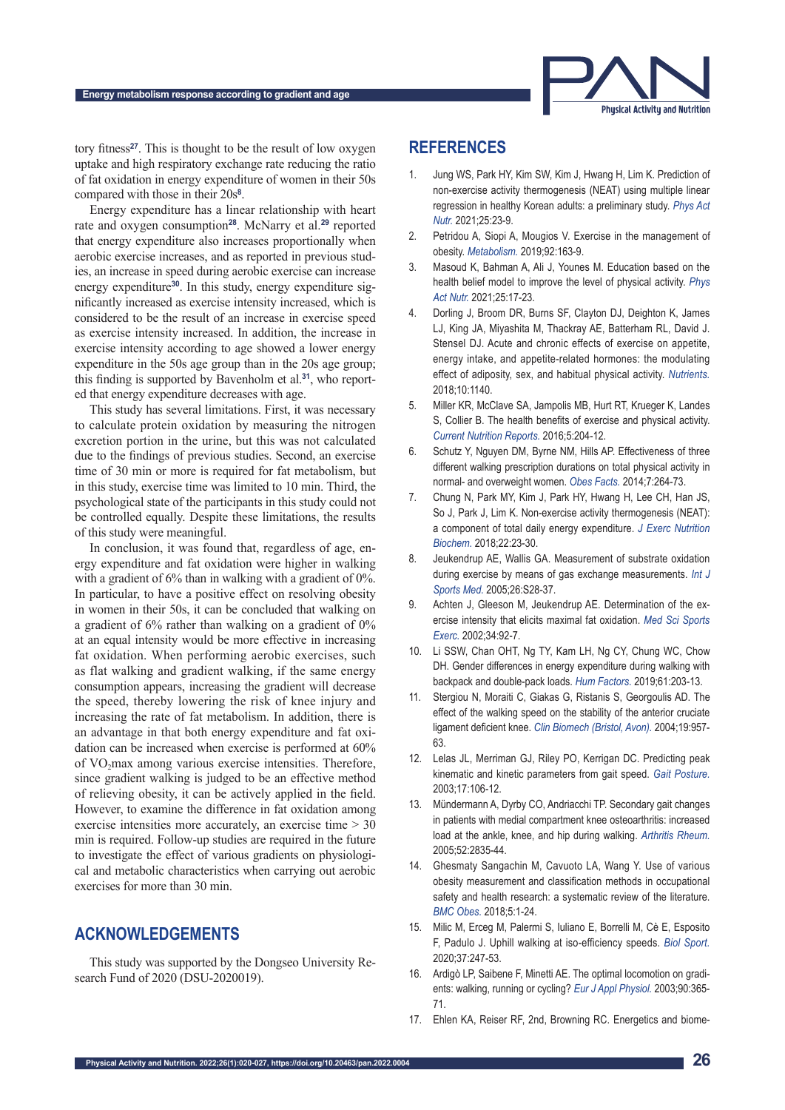

tory fitness**27**. This is thought to be the result of low oxygen uptake and high respiratory exchange rate reducing the ratio of fat oxidation in energy expenditure of women in their 50s compared with those in their 20s**8**.

Energy expenditure has a linear relationship with heart rate and oxygen consumption**28**. McNarry et al.**29** reported that energy expenditure also increases proportionally when aerobic exercise increases, and as reported in previous studies, an increase in speed during aerobic exercise can increase energy expenditure**30**. In this study, energy expenditure significantly increased as exercise intensity increased, which is considered to be the result of an increase in exercise speed as exercise intensity increased. In addition, the increase in exercise intensity according to age showed a lower energy expenditure in the 50s age group than in the 20s age group; this finding is supported by Bavenholm et al.**31**, who reported that energy expenditure decreases with age.

This study has several limitations. First, it was necessary to calculate protein oxidation by measuring the nitrogen excretion portion in the urine, but this was not calculated due to the findings of previous studies. Second, an exercise time of 30 min or more is required for fat metabolism, but in this study, exercise time was limited to 10 min. Third, the psychological state of the participants in this study could not be controlled equally. Despite these limitations, the results of this study were meaningful.

In conclusion, it was found that, regardless of age, energy expenditure and fat oxidation were higher in walking with a gradient of 6% than in walking with a gradient of 0%. In particular, to have a positive effect on resolving obesity in women in their 50s, it can be concluded that walking on a gradient of 6% rather than walking on a gradient of 0% at an equal intensity would be more effective in increasing fat oxidation. When performing aerobic exercises, such as flat walking and gradient walking, if the same energy consumption appears, increasing the gradient will decrease the speed, thereby lowering the risk of knee injury and increasing the rate of fat metabolism. In addition, there is an advantage in that both energy expenditure and fat oxidation can be increased when exercise is performed at 60% of VO<sub>2</sub>max among various exercise intensities. Therefore, since gradient walking is judged to be an effective method of relieving obesity, it can be actively applied in the field. However, to examine the difference in fat oxidation among exercise intensities more accurately, an exercise time > 30 min is required. Follow-up studies are required in the future to investigate the effect of various gradients on physiological and metabolic characteristics when carrying out aerobic exercises for more than 30 min.

# **ACKNOWLEDGEMENTS**

This study was supported by the Dongseo University Research Fund of 2020 (DSU-2020019).

## **REFERENCES**

- 1. Jung WS, Park HY, Kim SW, Kim J, Hwang H, Lim K. Prediction of non-exercise activity thermogenesis (NEAT) using multiple linear regression in healthy Korean adults: a preliminary study. *Phys Act Nutr.* 2021;25:23-9.
- 2. Petridou A, Siopi A, Mougios V. Exercise in the management of obesity. *Metabolism.* 2019;92:163-9.
- 3. Masoud K, Bahman A, Ali J, Younes M. Education based on the health belief model to improve the level of physical activity. *Phys Act Nutr.* 2021;25:17-23.
- 4. Dorling J, Broom DR, Burns SF, Clayton DJ, Deighton K, James LJ, King JA, Miyashita M, Thackray AE, Batterham RL, David J. Stensel DJ. Acute and chronic effects of exercise on appetite, energy intake, and appetite-related hormones: the modulating effect of adiposity, sex, and habitual physical activity. *Nutrients.* 2018;10:1140.
- 5. Miller KR, McClave SA, Jampolis MB, Hurt RT, Krueger K, Landes S, Collier B. The health benefits of exercise and physical activity. *Current Nutrition Reports.* 2016;5:204-12.
- 6. Schutz Y, Nguyen DM, Byrne NM, Hills AP. Effectiveness of three different walking prescription durations on total physical activity in normal- and overweight women. *Obes Facts.* 2014;7:264-73.
- 7. Chung N, Park MY, Kim J, Park HY, Hwang H, Lee CH, Han JS, So J, Park J, Lim K. Non-exercise activity thermogenesis (NEAT): a component of total daily energy expenditure. *J Exerc Nutrition Biochem.* 2018;22:23-30.
- 8. Jeukendrup AE, Wallis GA. Measurement of substrate oxidation during exercise by means of gas exchange measurements. *Int J Sports Med.* 2005;26:S28-37.
- 9. Achten J, Gleeson M, Jeukendrup AE. Determination of the exercise intensity that elicits maximal fat oxidation. *Med Sci Sports Exerc.* 2002;34:92-7.
- 10. Li SSW, Chan OHT, Ng TY, Kam LH, Ng CY, Chung WC, Chow DH. Gender differences in energy expenditure during walking with backpack and double-pack loads. *Hum Factors.* 2019;61:203-13.
- 11. Stergiou N, Moraiti C, Giakas G, Ristanis S, Georgoulis AD. The effect of the walking speed on the stability of the anterior cruciate ligament deficient knee. *Clin Biomech (Bristol, Avon).* 2004;19:957- 63.
- 12. Lelas JL, Merriman GJ, Riley PO, Kerrigan DC. Predicting peak kinematic and kinetic parameters from gait speed. *Gait Posture.* 2003;17:106-12.
- 13. Mündermann A, Dyrby CO, Andriacchi TP. Secondary gait changes in patients with medial compartment knee osteoarthritis: increased load at the ankle, knee, and hip during walking. *Arthritis Rheum.* 2005;52:2835-44.
- 14. Ghesmaty Sangachin M, Cavuoto LA, Wang Y. Use of various obesity measurement and classification methods in occupational safety and health research: a systematic review of the literature. *BMC Obes.* 2018;5:1-24.
- 15. Milic M, Erceg M, Palermi S, Iuliano E, Borrelli M, Cè E, Esposito F, Padulo J. Uphill walking at iso-efficiency speeds. *Biol Sport.* 2020;37:247-53.
- 16. Ardigò LP, Saibene F, Minetti AE. The optimal locomotion on gradients: walking, running or cycling? *Eur J Appl Physiol.* 2003;90:365- 71.
- 17. Ehlen KA, Reiser RF, 2nd, Browning RC. Energetics and biome-